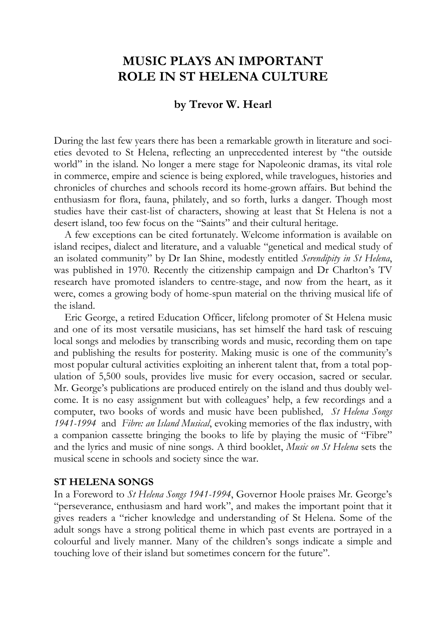# **MUSIC PLAYS AN IMPORTANT ROLE IN ST HELENA CULTURE**

# **by Trevor W. Hearl**

During the last few years there has been a remarkable growth in literature and societies devoted to St Helena, reflecting an unprecedented interest by "the outside world" in the island. No longer a mere stage for Napoleonic dramas, its vital role in commerce, empire and science is being explored, while travelogues, histories and chronicles of churches and schools record its home-grown affairs. But behind the enthusiasm for flora, fauna, philately, and so forth, lurks a danger. Though most studies have their cast-list of characters, showing at least that St Helena is not a desert island, too few focus on the "Saints" and their cultural heritage.

A few exceptions can be cited fortunately. Welcome information is available on island recipes, dialect and literature, and a valuable "genetical and medical study of an isolated community" by Dr Ian Shine, modestly entitled *Serendipity in St Helena*, was published in 1970. Recently the citizenship campaign and Dr Charlton's TV research have promoted islanders to centre-stage, and now from the heart, as it were, comes a growing body of home-spun material on the thriving musical life of the island.

Eric George, a retired Education Officer, lifelong promoter of St Helena music and one of its most versatile musicians, has set himself the hard task of rescuing local songs and melodies by transcribing words and music, recording them on tape and publishing the results for posterity. Making music is one of the community's most popular cultural activities exploiting an inherent talent that, from a total population of 5,500 souls, provides live music for every occasion, sacred or secular. Mr. George's publications are produced entirely on the island and thus doubly welcome. It is no easy assignment but with colleagues' help, a few recordings and a computer, two books of words and music have been published*, St Helena Songs 1941-1994* and *Fibre: an Island Musical*, evoking memories of the flax industry, with a companion cassette bringing the books to life by playing the music of "Fibre" and the lyrics and music of nine songs. A third booklet, *Music on St Helena* sets the musical scene in schools and society since the war.

#### **ST HELENA SONGS**

In a Foreword to *St Helena Songs 1941-1994*, Governor Hoole praises Mr. George's "perseverance, enthusiasm and hard work", and makes the important point that it gives readers a "richer knowledge and understanding of St Helena. Some of the adult songs have a strong political theme in which past events are portrayed in a colourful and lively manner. Many of the children's songs indicate a simple and touching love of their island but sometimes concern for the future".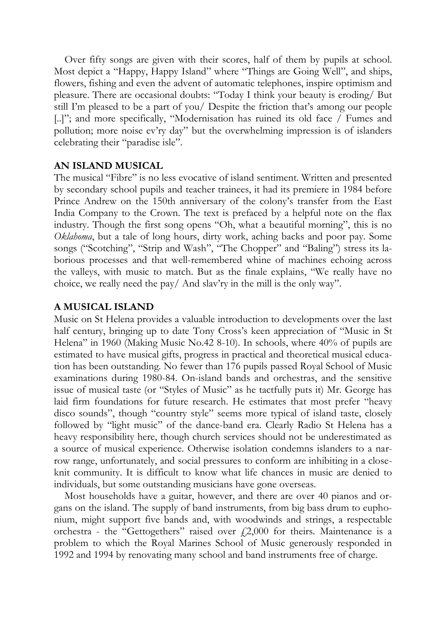Over fifty songs are given with their scores, half of them by pupils at school. Most depict a "Happy, Happy Island" where "Things are Going Well", and ships, flowers, fishing and even the advent of automatic telephones, inspire optimism and pleasure. There are occasional doubts: "Today I think your beauty is eroding/ But still I'm pleased to be a part of you/ Despite the friction that's among our people [..]"; and more specifically, "Modernisation has ruined its old face / Fumes and pollution; more noise ev'ry day" but the overwhelming impression is of islanders celebrating their "paradise isle".

### **AN ISLAND MUSICAL**

The musical "Fibre" is no less evocative of island sentiment. Written and presented by secondary school pupils and teacher trainees, it had its premiere in 1984 before Prince Andrew on the 150th anniversary of the colony's transfer from the East India Company to the Crown. The text is prefaced by a helpful note on the flax industry. Though the first song opens "Oh, what a beautiful morning", this is no *Oklahoma*, but a tale of long hours, dirty work, aching backs and poor pay. Some songs ("Scotching", "Strip and Wash", "The Chopper" and "Baling") stress its laborious processes and that well-remembered whine of machines echoing across the valleys, with music to match. But as the finale explains, "We really have no choice, we really need the pay/ And slav'ry in the mill is the only way".

### **A MUSICAL ISLAND**

Music on St Helena provides a valuable introduction to developments over the last half century, bringing up to date Tony Cross's keen appreciation of "Music in St Helena" in 1960 (Making Music No.42 8-10). In schools, where 40% of pupils are estimated to have musical gifts, progress in practical and theoretical musical education has been outstanding. No fewer than 176 pupils passed Royal School of Music examinations during 1980-84. On-island bands and orchestras, and the sensitive issue of musical taste (or "Styles of Music" as he tactfully puts it) Mr. George has laid firm foundations for future research. He estimates that most prefer "heavy disco sounds", though "country style" seems more typical of island taste, closely followed by "light music" of the dance-band era. Clearly Radio St Helena has a heavy responsibility here, though church services should not be underestimated as a source of musical experience. Otherwise isolation condemns islanders to a narrow range, unfortunately, and social pressures to conform are inhibiting in a closeknit community. It is difficult to know what life chances in music are denied to individuals, but some outstanding musicians have gone overseas.

Most households have a guitar, however, and there are over 40 pianos and organs on the island. The supply of band instruments, from big bass drum to euphonium, might support five bands and, with woodwinds and strings, a respectable orchestra - the "Gettogethers" raised over  $f(2,000)$  for theirs. Maintenance is a problem to which the Royal Marines School of Music generously responded in 1992 and 1994 by renovating many school and band instruments free of charge.